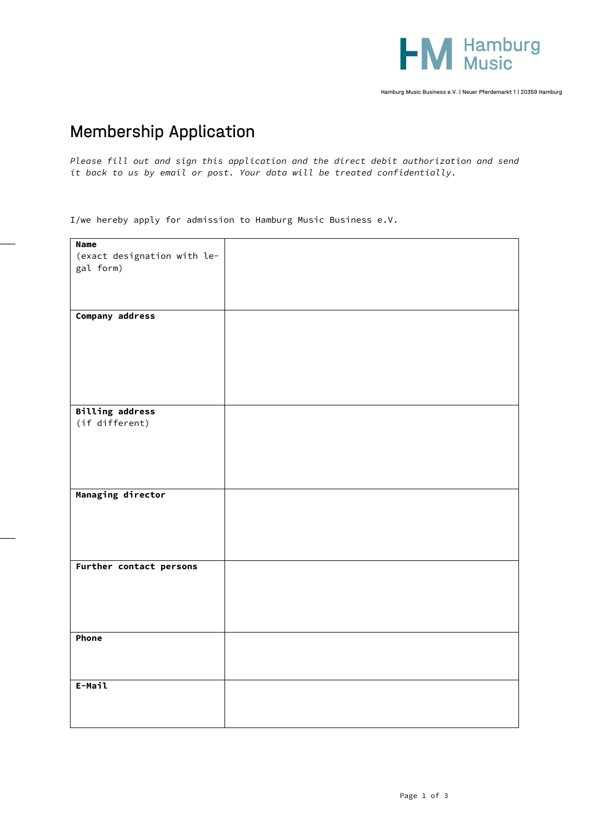

Hamburg Music Business e.V. | Neuer Pferdemarkt 1 | 20359 Hamburg

## Membership Application

*Please fill out and sign this application and the direct debit authorization and send it back to us by email or post. Your data will be treated confidentially.*

I/we hereby apply for admission to Hamburg Music Business e.V.

| <b>Name</b>                 |  |
|-----------------------------|--|
|                             |  |
| (exact designation with le- |  |
| gal form)                   |  |
|                             |  |
|                             |  |
|                             |  |
|                             |  |
| Company address             |  |
|                             |  |
|                             |  |
|                             |  |
|                             |  |
|                             |  |
|                             |  |
|                             |  |
|                             |  |
|                             |  |
| <b>Billing address</b>      |  |
|                             |  |
| (if different)              |  |
|                             |  |
|                             |  |
|                             |  |
|                             |  |
|                             |  |
|                             |  |
| Managing director           |  |
|                             |  |
|                             |  |
|                             |  |
|                             |  |
|                             |  |
|                             |  |
| Further contact persons     |  |
|                             |  |
|                             |  |
|                             |  |
|                             |  |
|                             |  |
|                             |  |
|                             |  |
| Phone                       |  |
|                             |  |
|                             |  |
|                             |  |
|                             |  |
| E-Mail                      |  |
|                             |  |
|                             |  |
|                             |  |
|                             |  |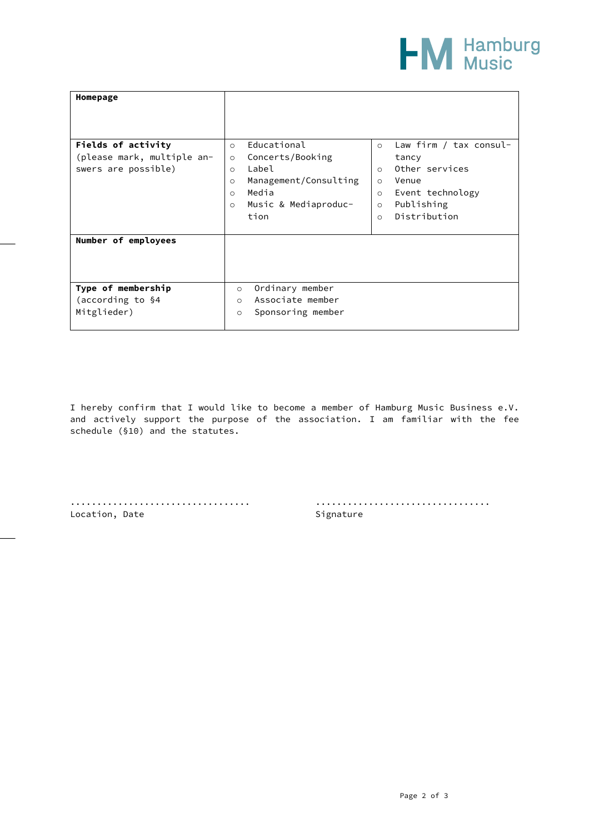

| Homepage                   |                                  |                                   |
|----------------------------|----------------------------------|-----------------------------------|
|                            |                                  |                                   |
| Fields of activity         | Educational<br>$\circ$           | Law firm / tax consul-<br>$\circ$ |
| (please mark, multiple an- | Concerts/Booking<br>$\circ$      | tancy                             |
| swers are possible)        | Label<br>$\circ$                 | Other services<br>$\circ$         |
|                            | Management/Consulting<br>$\circ$ | Venue<br>$\circ$                  |
|                            | Media<br>$\circ$                 | Event technology<br>$\circ$       |
|                            | Music & Mediaproduc-<br>$\circ$  | Publishing<br>$\circ$             |
|                            | tion                             | Distribution<br>$\circ$           |
|                            |                                  |                                   |
| Number of employees        |                                  |                                   |
|                            |                                  |                                   |
|                            |                                  |                                   |
|                            |                                  |                                   |
| Type of membership         | Ordinary member<br>$\circ$       |                                   |
| (according to §4           | Associate member<br>$\circ$      |                                   |
| Mitglieder)                | Sponsoring member<br>$\circ$     |                                   |
|                            |                                  |                                   |

I hereby confirm that I would like to become a member of Hamburg Music Business e.V. and actively support the purpose of the association. I am familiar with the fee schedule (§10) and the statutes.

Location, Date Signature

.................................. .................................